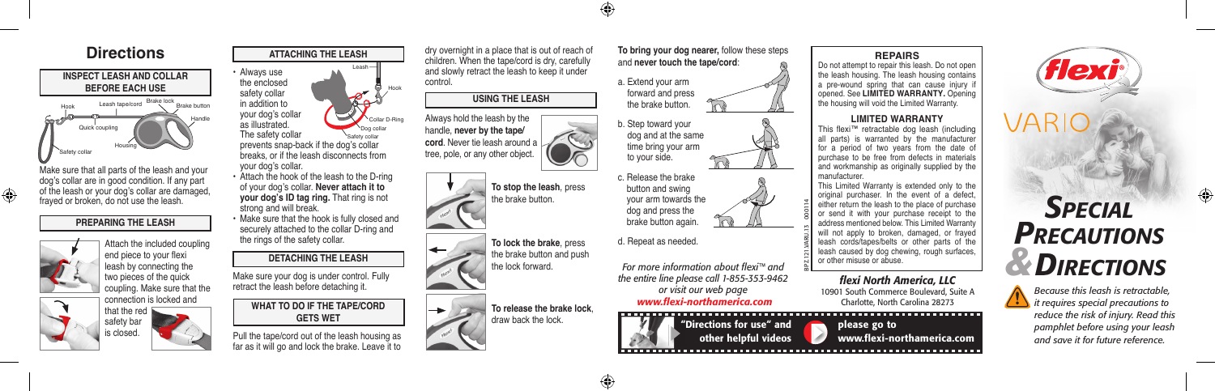

Make sure that all parts of the leash and your dog's collar are in good condition. If any part of the leash or your dog's collar are damaged, frayed or broken, do not use the leash.

# **PREPARING THE LEASH**







your dog's collar. • Attach the hook of the leash to the D-ring of your dog's collar. **Never attach it to your dog's ID tag ring.** That ring is not strong and will break.

• Make sure that the hook is fully closed and securely attached to the collar D-ring and the rings of the safety collar.

# **DETACHING THE LEASH**

Make sure your dog is under control. Fully retract the leash before detaching it.

> **WHAT TO DO IF THE TAPE/CORD GETS WET**

Pull the tape/cord out of the leash housing as far as it will go and lock the brake. Leave it to

dry overnight in a place that is out of reach of **Directions The Example of the Children.** When the tape/cord is dry, carefully and never touch the tape/cord is dry, carefully and never touch the tape/cord is dry, carefully and never touch the tape/cord is dry, careful and slowly retract the leash to keep it under control.

# **USING THE LEASH**

Always hold the leash by the handle, **never by the tape/ cord**. Never tie leash around a tree, pole, or any other object.



Hook

Collar D-Ring

Dog collar

Leash







and **never touch the tape/cord**:







d. Repeat as needed.

*For more information about flexi™ and the entire line please call 1-855-353-9462 or visit our web page www.flexi-northamerica.com*

"Directions for use" and other helpful videos

## **REPAIRS**

Do not attempt to repair this leash. Do not open the leash housing. The leash housing contains a pre-wound spring that can cause injury if opened. See **LIMITED WARRANTY.** Opening the housing will void the Limited Warranty.

### **LIMITED WARRANTY**

This flexi™ retractable dog leash (including all parts) is warranted by the manufacturer for a period of two years from the date of purchase to be free from defects in materials and workmanship as originally supplied by the manufacturer.

This Limited Warranty is extended only to the original purchaser. In the event of a defect, either return the leash to the place of purchase or send it with your purchase receipt to the address mentioned below. This Limited Warranty will not apply to broken, damaged, or frayed leash cords/tapes/belts or other parts of the leash caused by dog chewing, rough surfaces, or other misuse or abuse.

### *flexi North America, LLC* 10901 South Commerce Boulevard, Suite A

please go to

BPZ.121.VARU.13 000114

Charlotte, North Carolina 28273

www.flexi-northamerica.com



*Because this leash is retractable, it requires special precautions to reduce the risk of injury. Read this pamphlet before using your leash and save it for future reference.*